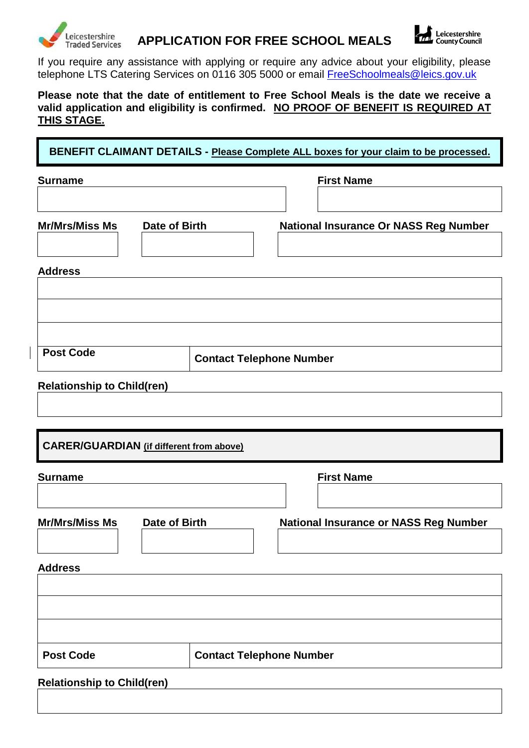

## **APPLICATION FOR FREE SCHOOL MEALS**



If you require any assistance with applying or require any advice about your eligibility, please telephone LTS Catering Services on 0116 305 5000 or email *[FreeSchoolmeals@leics.gov.uk](mailto:FreeSchoolmeals@leics.gov.uk)* 

**Please note that the date of entitlement to Free School Meals is the date we receive a valid application and eligibility is confirmed. NO PROOF OF BENEFIT IS REQUIRED AT THIS STAGE.**

**BENEFIT CLAIMANT DETAILS - Please Complete ALL boxes for your claim to be processed.**

| <b>Surname</b>                                  | <b>First Name</b>                            |
|-------------------------------------------------|----------------------------------------------|
|                                                 |                                              |
| <b>Mr/Mrs/Miss Ms</b><br>Date of Birth          | <b>National Insurance Or NASS Reg Number</b> |
|                                                 |                                              |
| <b>Address</b>                                  |                                              |
|                                                 |                                              |
|                                                 |                                              |
|                                                 |                                              |
| <b>Post Code</b>                                | <b>Contact Telephone Number</b>              |
| <b>Relationship to Child(ren)</b>               |                                              |
|                                                 |                                              |
|                                                 |                                              |
| <b>CARER/GUARDIAN</b> (if different from above) |                                              |
| <b>Surname</b>                                  | <b>First Name</b>                            |
|                                                 |                                              |
| <b>Mr/Mrs/Miss Ms</b><br>Date of Birth          | <b>National Insurance or NASS Reg Number</b> |
|                                                 |                                              |
| <b>Address</b>                                  |                                              |
|                                                 |                                              |
|                                                 |                                              |
|                                                 |                                              |
| <b>Post Code</b>                                | <b>Contact Telephone Number</b>              |
| <b>Relationship to Child(ren)</b>               |                                              |